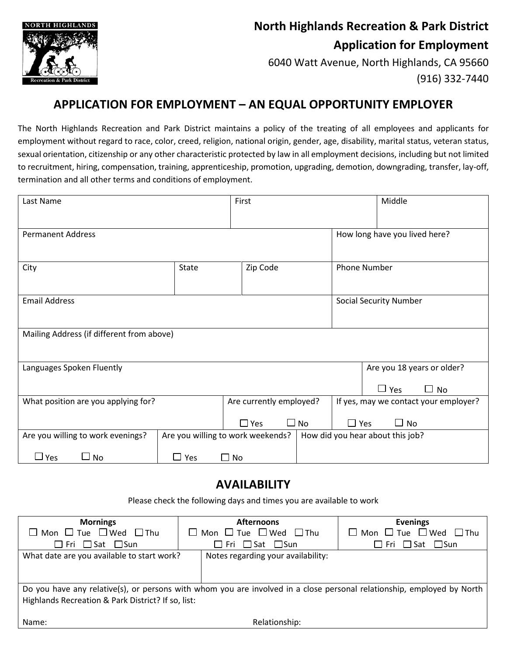

# **North Highlands Recreation & Park District Application for Employment**

6040 Watt Avenue, North Highlands, CA 95660 (916) 332-7440

## **APPLICATION FOR EMPLOYMENT – AN EQUAL OPPORTUNITY EMPLOYER**

The North Highlands Recreation and Park District maintains a policy of the treating of all employees and applicants for employment without regard to race, color, creed, religion, national origin, gender, age, disability, marital status, veteran status, sexual orientation, citizenship or any other characteristic protected by law in all employment decisions, including but not limited to recruitment, hiring, compensation, training, apprenticeship, promotion, upgrading, demotion, downgrading, transfer, lay-off, termination and all other terms and conditions of employment.

| Last Name                                 |               | First                             |              |                     | Middle                                |
|-------------------------------------------|---------------|-----------------------------------|--------------|---------------------|---------------------------------------|
|                                           |               |                                   |              |                     |                                       |
| <b>Permanent Address</b>                  |               |                                   |              |                     | How long have you lived here?         |
|                                           |               |                                   |              |                     |                                       |
| City                                      | State         | Zip Code                          |              | <b>Phone Number</b> |                                       |
|                                           |               |                                   |              |                     |                                       |
| <b>Email Address</b>                      |               |                                   |              |                     | <b>Social Security Number</b>         |
|                                           |               |                                   |              |                     |                                       |
| Mailing Address (if different from above) |               |                                   |              |                     |                                       |
|                                           |               |                                   |              |                     |                                       |
| Languages Spoken Fluently                 |               |                                   |              |                     | Are you 18 years or older?            |
|                                           |               |                                   |              |                     | $\Box$ Yes<br>$\Box$ No               |
| What position are you applying for?       |               | Are currently employed?           |              |                     | If yes, may we contact your employer? |
|                                           |               | $\Box$ Yes                        | $\square$ No | $\square$ Yes       | $\Box$ No                             |
| Are you willing to work evenings?         |               | Are you willing to work weekends? |              |                     | How did you hear about this job?      |
| $\Box$ Yes<br>$\Box$ No                   | $\square$ Yes | $\square$ No                      |              |                     |                                       |

# **AVAILABILITY**

Please check the following days and times you are available to work

| <b>Mornings</b>                                                                                                        | <b>Afternoons</b>                           | <b>Evenings</b>                             |  |  |  |
|------------------------------------------------------------------------------------------------------------------------|---------------------------------------------|---------------------------------------------|--|--|--|
| $\Box$ Mon $\Box$ Tue $\Box$ Wed $\Box$ Thu                                                                            | $\Box$ Mon $\Box$ Tue $\Box$ Wed $\Box$ Thu | $\Box$ Mon $\Box$ Tue $\Box$ Wed $\Box$ Thu |  |  |  |
| $\Box$ Fri $\Box$ Sat $\Box$ Sun                                                                                       | Fri □Sat □Sun                               | $\Box$ Fri $\Box$ Sat $\Box$ Sun            |  |  |  |
| What date are you available to start work?                                                                             | Notes regarding your availability:          |                                             |  |  |  |
|                                                                                                                        |                                             |                                             |  |  |  |
|                                                                                                                        |                                             |                                             |  |  |  |
| Do you have any relative(s), or persons with whom you are involved in a close personal relationship, employed by North |                                             |                                             |  |  |  |
| Highlands Recreation & Park District? If so, list:                                                                     |                                             |                                             |  |  |  |
|                                                                                                                        |                                             |                                             |  |  |  |
| Name:                                                                                                                  | Relationship:                               |                                             |  |  |  |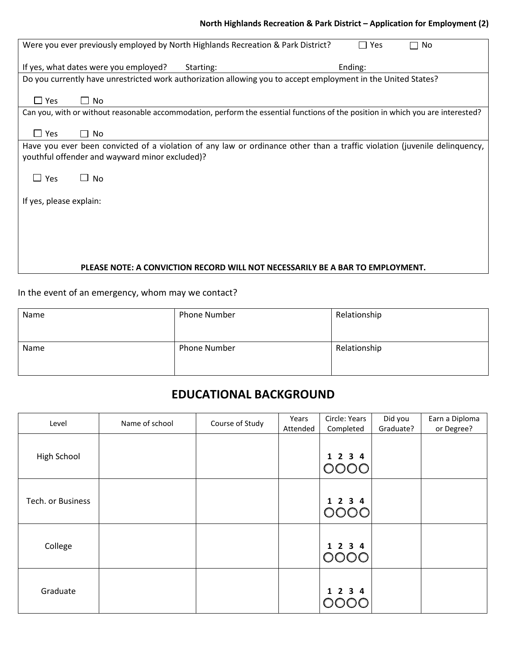## **North Highlands Recreation & Park District – Application for Employment (2)**

| Yes<br>Were you ever previously employed by North Highlands Recreation & Park District?<br>No<br>$\mathbf{I}$                   |  |  |  |  |  |
|---------------------------------------------------------------------------------------------------------------------------------|--|--|--|--|--|
| If yes, what dates were you employed?<br>Ending:<br>Starting:                                                                   |  |  |  |  |  |
| Do you currently have unrestricted work authorization allowing you to accept employment in the United States?                   |  |  |  |  |  |
| $\Box$ Yes<br>$\Box$ No                                                                                                         |  |  |  |  |  |
| Can you, with or without reasonable accommodation, perform the essential functions of the position in which you are interested? |  |  |  |  |  |
| $\Box$ Yes<br>No<br>$\mathsf{L}$                                                                                                |  |  |  |  |  |
| Have you ever been convicted of a violation of any law or ordinance other than a traffic violation (juvenile delinquency,       |  |  |  |  |  |
| youthful offender and wayward minor excluded)?                                                                                  |  |  |  |  |  |
| $\Box$ Yes<br>$\Box$ No                                                                                                         |  |  |  |  |  |
| If yes, please explain:                                                                                                         |  |  |  |  |  |
|                                                                                                                                 |  |  |  |  |  |
|                                                                                                                                 |  |  |  |  |  |
|                                                                                                                                 |  |  |  |  |  |
| PLEASE NOTE: A CONVICTION RECORD WILL NOT NECESSARILY BE A BAR TO EMPLOYMENT.                                                   |  |  |  |  |  |

## In the event of an emergency, whom may we contact?

| Name | <b>Phone Number</b> | Relationship |
|------|---------------------|--------------|
| Name | <b>Phone Number</b> | Relationship |

# **EDUCATIONAL BACKGROUND**

| Level             | Name of school | Course of Study | Years<br>Attended | Circle: Years<br>Completed  | Did you<br>Graduate? | Earn a Diploma<br>or Degree? |
|-------------------|----------------|-----------------|-------------------|-----------------------------|----------------------|------------------------------|
| High School       |                |                 |                   | $2 \quad 3 \quad 4$<br>OOOC |                      |                              |
| Tech. or Business |                |                 |                   | $2 \quad 3 \quad 4$<br>OOOC |                      |                              |
| College           |                |                 |                   | $2 \t3 \t4$                 |                      |                              |
| Graduate          |                |                 |                   | 234                         |                      |                              |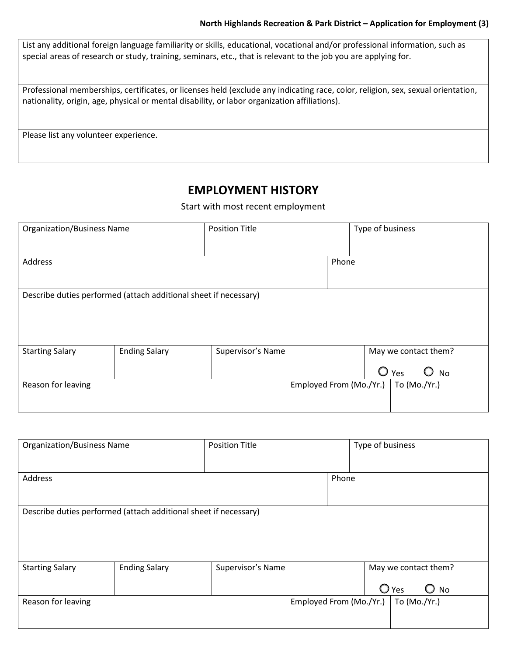#### **North Highlands Recreation & Park District – Application for Employment (3)**

List any additional foreign language familiarity or skills, educational, vocational and/or professional information, such as special areas of research or study, training, seminars, etc., that is relevant to the job you are applying for.

Professional memberships, certificates, or licenses held (exclude any indicating race, color, religion, sex, sexual orientation, nationality, origin, age, physical or mental disability, or labor organization affiliations).

Please list any volunteer experience.

## **EMPLOYMENT HISTORY**

Start with most recent employment

| <b>Organization/Business Name</b> |                                                                  | <b>Position Title</b> | Type of business        |         |                                          |
|-----------------------------------|------------------------------------------------------------------|-----------------------|-------------------------|---------|------------------------------------------|
| Address                           |                                                                  |                       | Phone                   |         |                                          |
|                                   | Describe duties performed (attach additional sheet if necessary) |                       |                         |         |                                          |
| <b>Starting Salary</b>            | <b>Ending Salary</b>                                             | Supervisor's Name     |                         | $\circ$ | May we contact them?<br>Yes<br><b>No</b> |
| Reason for leaving                |                                                                  |                       | Employed From (Mo./Yr.) |         | To (Mo./Yr.)                             |

| <b>Organization/Business Name</b>                                |                      | <b>Position Title</b> | Type of business        |  |                           |
|------------------------------------------------------------------|----------------------|-----------------------|-------------------------|--|---------------------------|
| Address                                                          |                      |                       | Phone                   |  |                           |
|                                                                  |                      |                       |                         |  |                           |
| Describe duties performed (attach additional sheet if necessary) |                      |                       |                         |  |                           |
|                                                                  |                      |                       |                         |  |                           |
|                                                                  |                      |                       |                         |  |                           |
|                                                                  |                      |                       |                         |  |                           |
| <b>Starting Salary</b>                                           | <b>Ending Salary</b> | Supervisor's Name     |                         |  | May we contact them?      |
|                                                                  |                      |                       |                         |  | $\bigcirc$ Yes<br>No<br>O |
| Reason for leaving                                               |                      |                       | Employed From (Mo./Yr.) |  | To (Mo./Yr.)              |
|                                                                  |                      |                       |                         |  |                           |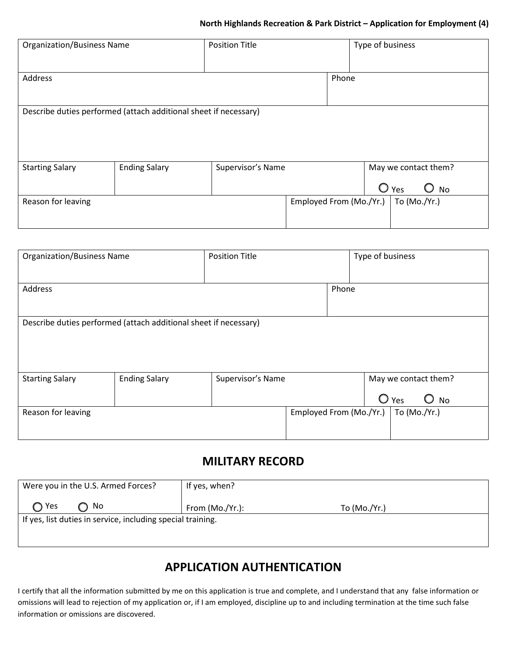#### **North Highlands Recreation & Park District – Application for Employment (4)**

| <b>Organization/Business Name</b>                                |                      | <b>Position Title</b> |                         | Type of business                             |
|------------------------------------------------------------------|----------------------|-----------------------|-------------------------|----------------------------------------------|
| Address                                                          |                      |                       | Phone                   |                                              |
| Describe duties performed (attach additional sheet if necessary) |                      |                       |                         |                                              |
| <b>Starting Salary</b>                                           | <b>Ending Salary</b> | Supervisor's Name     |                         | May we contact them?<br>$\bigcirc$ Yes<br>No |
| Reason for leaving                                               |                      |                       | Employed From (Mo./Yr.) | To (Mo./Yr.)                                 |

| <b>Organization/Business Name</b>                                |                      | <b>Position Title</b> | Type of business        |  |                                              |
|------------------------------------------------------------------|----------------------|-----------------------|-------------------------|--|----------------------------------------------|
| Address                                                          |                      |                       | Phone                   |  |                                              |
| Describe duties performed (attach additional sheet if necessary) |                      |                       |                         |  |                                              |
| <b>Starting Salary</b>                                           | <b>Ending Salary</b> | Supervisor's Name     |                         |  | May we contact them?<br>$\bigcirc$ Yes<br>No |
| Reason for leaving                                               |                      |                       | Employed From (Mo./Yr.) |  | To (Mo./Yr.)                                 |

# **MILITARY RECORD**

| Were you in the U.S. Armed Forces?                          | If yes, when?   |              |
|-------------------------------------------------------------|-----------------|--------------|
| ∩ Yes<br>$\bigcap$ No                                       | From (Mo./Yr.): | To (Mo./Yr.) |
| If yes, list duties in service, including special training. |                 |              |
|                                                             |                 |              |
|                                                             |                 |              |

# **APPLICATION AUTHENTICATION**

I certify that all the information submitted by me on this application is true and complete, and I understand that any false information or omissions will lead to rejection of my application or, if I am employed, discipline up to and including termination at the time such false information or omissions are discovered.